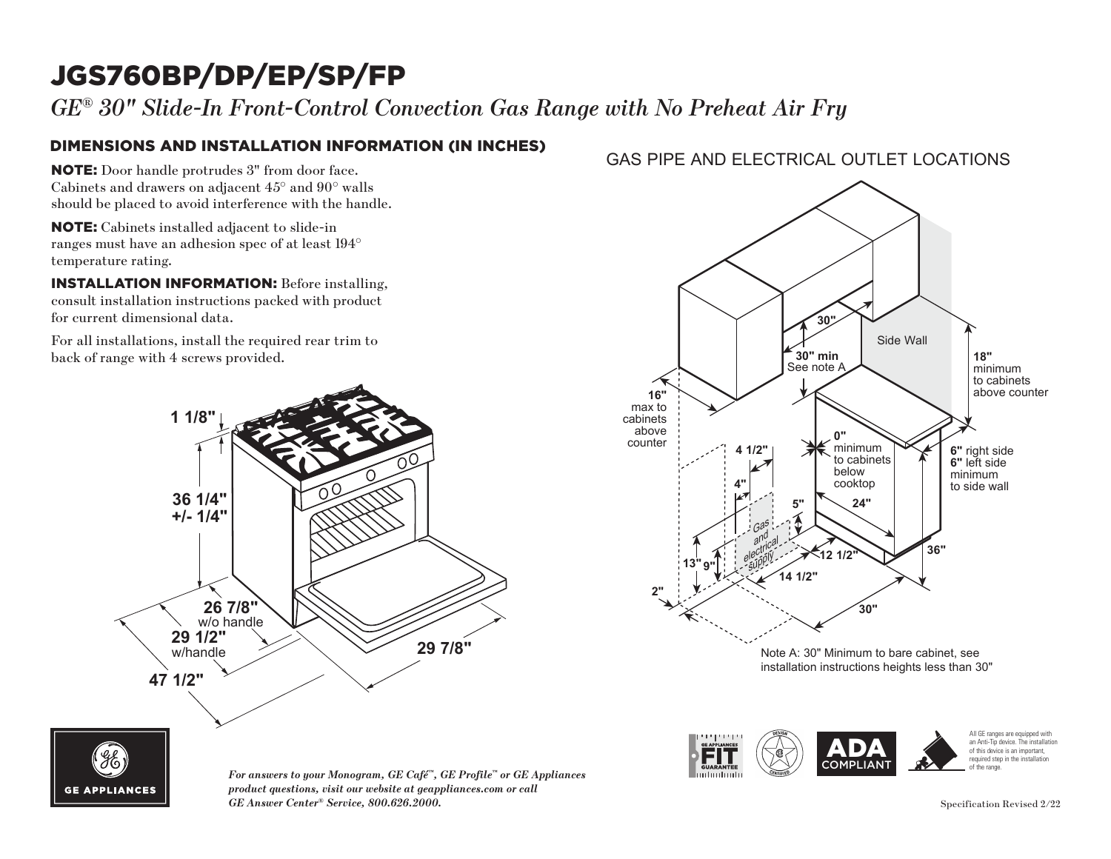## JGS760BP/DP/EP/SP/FP

*GE® 30" Slide-In Front-Control Convection Gas Range with No Preheat Air Fry*

### DIMENSIONS AND INSTALLATION INFORMATION (IN INCHES)

NOTE: Door handle protrudes 3" from door face. Cabinets and drawers on adjacent 45° and 90° walls should be placed to avoid interference with the handle. ild be pl

NOTE: Cabinets installed adjacent to slide-in ranges must have an adhesion spec of at least 194° temperature rating.  $\mathbf{E}$ : Cabinets

**INSTALLATION INFORMATION:** Before installing, consult installation instructions packed with product for current dimensional data. to current

For all installations, install the required rear trim to back of range with 4 screws provided.

PGS930\_JGS760\_JGS760\_JGS760\_JGS760\_JGS760\_JGS760\_JGS760\_JGS760\_JGS760\_JGS760\_JGS760\_JGS760\_JGS760\_JGS760\_JGS760\_JGS760\_JGS760\_JGS760\_JGS760\_JGS760\_JGS760\_JGS760\_JGS760\_JGS760\_JGS760\_JGS760\_JGS760\_JGS760\_JGS760\_JGS760\_JGS76

# **36 1/4" +/- 1/4" 29 7/8" 26 7/8"**<br>w/o handle **29 1/2"** w/handle **47 1/2" 1 1/8"**

*For answers to your Monogram, GE Café™, GE Profile™ or GE Appliances product questions, visit our website at geappliances.com or call GE Answer Center® Service, 800.626.2000.* Specification Revised 2/22

### GAS PIPE AND ELECTRICAL OUTLET LOCATIONS